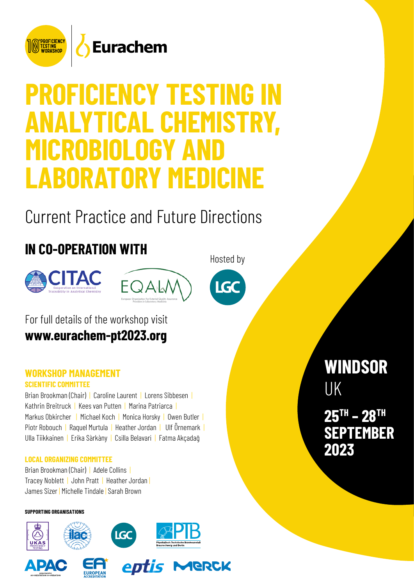

# **PROFICIENCY TESTING IN ANALYTICAL CHEMISTRY, MICROBIOLOGY AI LABORATORY MEDICINE**

Current Practice and Future Directions

# **IN CO-OPERATION WITH**







Hosted by

For full details of the workshop visit **[www.eurachem-pt202](https://eurachem-pt2020.org/)3.org**

### **WORKSHOP MANAGEMENT SCIENTIFIC COMMITTEE**

Brian Brookman (Chair) | Caroline Laurent | Lorens Sibbesen | Kathrin Breitruck | Kees van Putten | Marina Patriarca | Markus Obkircher | Michael Koch | Monica Horsky | Owen Butler | Piotr Robouch | Raquel Murtula | Heather Jordan | Ulf Örnemark | Ulla Tiikkainen | Erika Sàrkàny | Csilla Belavari | Fatma Akçadağ

#### **LOCAL ORGANIZING COMMITTEE**

Brian Brookman (Chair) | Adele Collins | Tracey Noblett | John Pratt | Heather Jordan | James Sizer | Michelle Tindale | Sarah Brown

#### **SUPPORTING ORGANISATIONS**













# **WINDSOR**  UK **25 TH – 28 TH SEPTEMBER 2023**